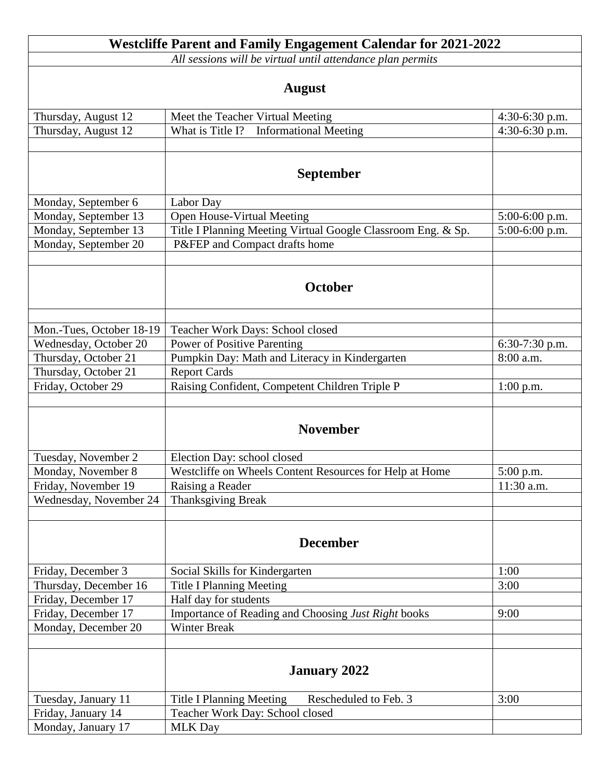|                                                            | <b>Westcliffe Parent and Family Engagement Calendar for 2021-2022</b> |                  |  |
|------------------------------------------------------------|-----------------------------------------------------------------------|------------------|--|
| All sessions will be virtual until attendance plan permits |                                                                       |                  |  |
|                                                            |                                                                       |                  |  |
| <b>August</b>                                              |                                                                       |                  |  |
| Thursday, August 12                                        | Meet the Teacher Virtual Meeting                                      | $4:30-6:30$ p.m. |  |
| Thursday, August 12                                        | What is Title I? Informational Meeting                                | $4:30-6:30$ p.m. |  |
|                                                            |                                                                       |                  |  |
|                                                            |                                                                       |                  |  |
|                                                            | <b>September</b>                                                      |                  |  |
| Monday, September 6                                        | Labor Day                                                             |                  |  |
| Monday, September 13                                       | Open House-Virtual Meeting                                            | $5:00-6:00$ p.m. |  |
| Monday, September 13                                       | Title I Planning Meeting Virtual Google Classroom Eng. & Sp.          | $5:00-6:00$ p.m. |  |
| Monday, September 20                                       | P&FEP and Compact drafts home                                         |                  |  |
|                                                            |                                                                       |                  |  |
|                                                            |                                                                       |                  |  |
|                                                            | October                                                               |                  |  |
|                                                            |                                                                       |                  |  |
|                                                            |                                                                       |                  |  |
| Mon.-Tues, October 18-19                                   | Teacher Work Days: School closed                                      |                  |  |
| Wednesday, October 20                                      | <b>Power of Positive Parenting</b>                                    | $6:30-7:30$ p.m. |  |
| Thursday, October 21                                       | Pumpkin Day: Math and Literacy in Kindergarten                        | 8:00 a.m.        |  |
| Thursday, October 21                                       | <b>Report Cards</b>                                                   |                  |  |
| Friday, October 29                                         | Raising Confident, Competent Children Triple P                        | $1:00$ p.m.      |  |
|                                                            |                                                                       |                  |  |
|                                                            | <b>November</b>                                                       |                  |  |
|                                                            |                                                                       |                  |  |
| Tuesday, November 2                                        | Election Day: school closed                                           |                  |  |
| Monday, November 8                                         | Westcliffe on Wheels Content Resources for Help at Home               | 5:00 p.m.        |  |
| Friday, November 19                                        | Raising a Reader                                                      | 11:30 a.m.       |  |
| Wednesday, November 24                                     | <b>Thanksgiving Break</b>                                             |                  |  |
|                                                            |                                                                       |                  |  |
|                                                            |                                                                       |                  |  |
|                                                            | <b>December</b>                                                       |                  |  |
|                                                            |                                                                       |                  |  |
| Friday, December 3                                         | Social Skills for Kindergarten                                        | 1:00             |  |
| Thursday, December 16                                      | <b>Title I Planning Meeting</b>                                       | 3:00             |  |
| Friday, December 17                                        | Half day for students                                                 |                  |  |
| Friday, December 17                                        | Importance of Reading and Choosing Just Right books                   | 9:00             |  |
| Monday, December 20                                        | <b>Winter Break</b>                                                   |                  |  |
|                                                            |                                                                       |                  |  |
|                                                            |                                                                       |                  |  |
|                                                            | <b>January 2022</b>                                                   |                  |  |
|                                                            |                                                                       |                  |  |
| Tuesday, January 11                                        | <b>Title I Planning Meeting</b><br>Rescheduled to Feb. 3              | 3:00             |  |
| Friday, January 14                                         | Teacher Work Day: School closed                                       |                  |  |
| Monday, January 17                                         | <b>MLK Day</b>                                                        |                  |  |